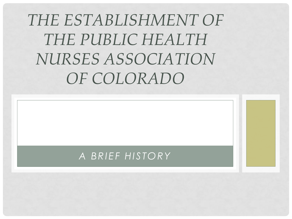# *THE ESTABLISHMENT OF THE PUBLIC HEALTH NURSES ASSOCIATION OF COLORADO*

#### *A BRIEF HISTORY*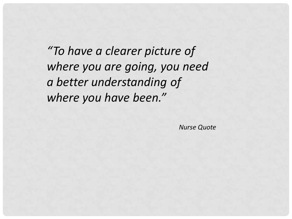*"To have a clearer picture of where you are going, you need a better understanding of where you have been."* 

*Nurse Quote*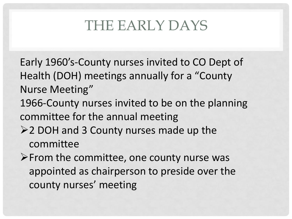# THE EARLY DAYS

- Early 1960's-County nurses invited to CO Dept of Health (DOH) meetings annually for a "County Nurse Meeting"
- 1966-County nurses invited to be on the planning committee for the annual meeting
- 2 DOH and 3 County nurses made up the committee
- $\triangleright$  From the committee, one county nurse was appointed as chairperson to preside over the county nurses' meeting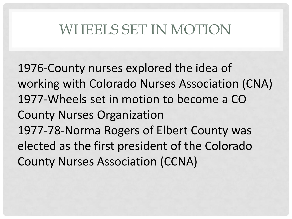## WHEELS SET IN MOTION

1976-County nurses explored the idea of working with Colorado Nurses Association (CNA) 1977-Wheels set in motion to become a CO County Nurses Organization 1977-78-Norma Rogers of Elbert County was elected as the first president of the Colorado County Nurses Association (CCNA)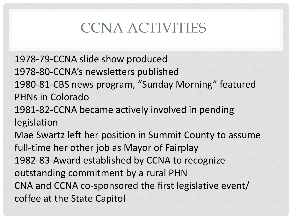# CCNA ACTIVITIES

1978-79-CCNA slide show produced 1978-80-CCNA's newsletters published 1980-81-CBS news program, "Sunday Morning" featured PHNs in Colorado

1981-82-CCNA became actively involved in pending legislation

Mae Swartz left her position in Summit County to assume full-time her other job as Mayor of Fairplay 1982-83-Award established by CCNA to recognize outstanding commitment by a rural PHN CNA and CCNA co-sponsored the first legislative event/ coffee at the State Capitol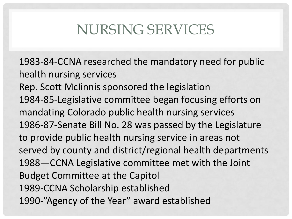## NURSING SERVICES

1983-84-CCNA researched the mandatory need for public health nursing services Rep. Scott McIinnis sponsored the legislation 1984-85-Legislative committee began focusing efforts on mandating Colorado public health nursing services 1986-87-Senate Bill No. 28 was passed by the Legislature to provide public health nursing service in areas not served by county and district/regional health departments 1988—CCNA Legislative committee met with the Joint Budget Committee at the Capitol 1989-CCNA Scholarship established 1990-"Agency of the Year" award established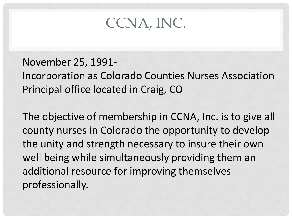#### CCNA, INC.

#### November 25, 1991-

Incorporation as Colorado Counties Nurses Association Principal office located in Craig, CO

The objective of membership in CCNA, Inc. is to give all county nurses in Colorado the opportunity to develop the unity and strength necessary to insure their own well being while simultaneously providing them an additional resource for improving themselves professionally.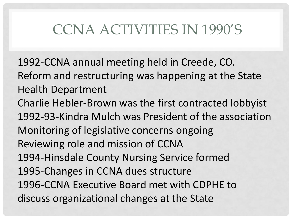# CCNA ACTIVITIES IN 1990'S

1992-CCNA annual meeting held in Creede, CO. Reform and restructuring was happening at the State Health Department Charlie Hebler-Brown was the first contracted lobbyist 1992-93-Kindra Mulch was President of the association Monitoring of legislative concerns ongoing Reviewing role and mission of CCNA 1994-Hinsdale County Nursing Service formed 1995-Changes in CCNA dues structure 1996-CCNA Executive Board met with CDPHE to discuss organizational changes at the State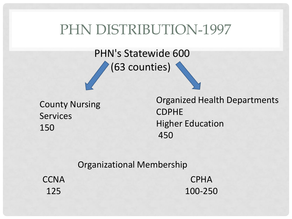#### PHN DISTRIBUTION-1997

PHN's Statewide 600 (63 counties)

County Nursing Services 150

Organized Health Departments CDPHE Higher Education 450

Organizational Membership

**CCNA** 125

CPHA 100-250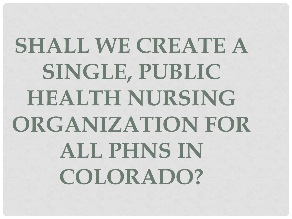# **SHALL WE CREATE A SINGLE, PUBLIC HEALTH NURSING ORGANIZATION FOR ALL PHNS IN COLORADO?**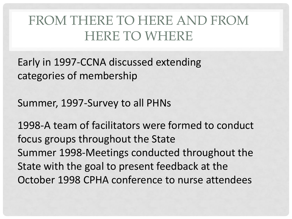### FROM THERE TO HERE AND FROM HERE TO WHERE

Early in 1997-CCNA discussed extending categories of membership

Summer, 1997-Survey to all PHNs

1998-A team of facilitators were formed to conduct focus groups throughout the State Summer 1998-Meetings conducted throughout the State with the goal to present feedback at the October 1998 CPHA conference to nurse attendees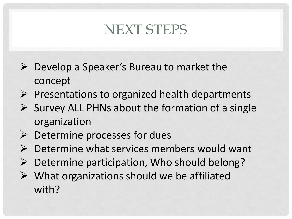# NEXT STEPS

- $\triangleright$  Develop a Speaker's Bureau to market the concept
- $\triangleright$  Presentations to organized health departments
- $\triangleright$  Survey ALL PHNs about the formation of a single organization
- $\triangleright$  Determine processes for dues
- $\triangleright$  Determine what services members would want
- $\triangleright$  Determine participation, Who should belong?
- $\triangleright$  What organizations should we be affiliated with?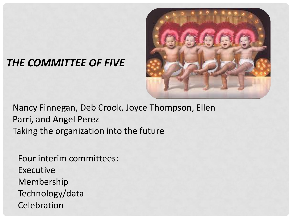#### *THE COMMITTEE OF FIVE*



Nancy Finnegan, Deb Crook, Joyce Thompson, Ellen Parri, and Angel Perez Taking the organization into the future

Four interim committees: Executive Membership Technology/data Celebration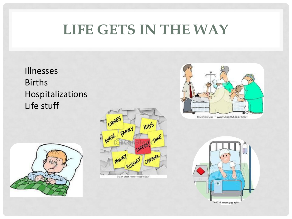# **LIFE GETS IN THE WAY**

Illnesses Births Hospitalizations Life stuff





C Can Stock Photo - csp8185901



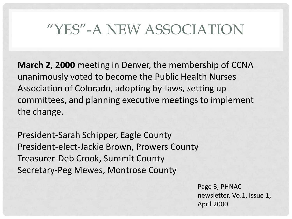# "YES"-A NEW ASSOCIATION

**March 2, 2000** meeting in Denver, the membership of CCNA unanimously voted to become the Public Health Nurses Association of Colorado, adopting by-laws, setting up committees, and planning executive meetings to implement the change.

President-Sarah Schipper, Eagle County President-elect-Jackie Brown, Prowers County Treasurer-Deb Crook, Summit County Secretary-Peg Mewes, Montrose County

> Page 3, PHNAC newsletter, Vo.1, Issue 1, April 2000